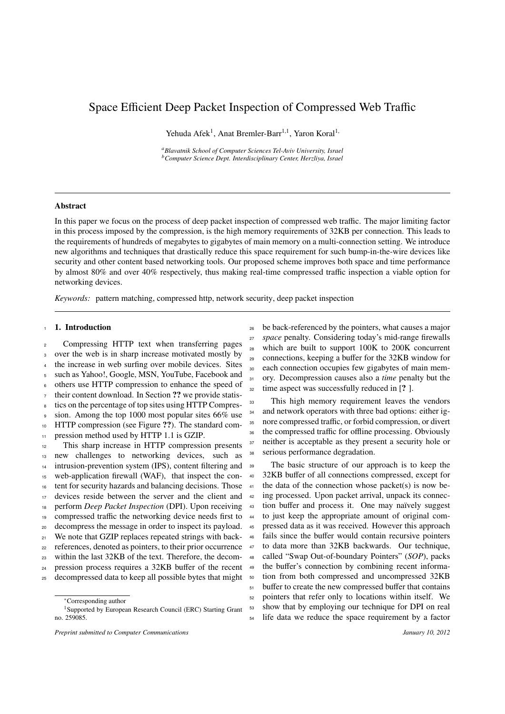# Space Efficient Deep Packet Inspection of Compressed Web Traffic

Yehuda Afek<sup>1</sup>, Anat Bremler-Barr<sup>1,1</sup>, Yaron Koral<sup>1,</sup>

*<sup>a</sup>Blavatnik School of Computer Sciences Tel-Aviv University, Israel <sup>b</sup>Computer Science Dept. Interdisciplinary Center, Herzliya, Israel*

#### Abstract

In this paper we focus on the process of deep packet inspection of compressed web traffic. The major limiting factor in this process imposed by the compression, is the high memory requirements of 32KB per connection. This leads to the requirements of hundreds of megabytes to gigabytes of main memory on a multi-connection setting. We introduce new algorithms and techniques that drastically reduce this space requirement for such bump-in-the-wire devices like security and other content based networking tools. Our proposed scheme improves both space and time performance by almost 80% and over 40% respectively, thus making real-time compressed traffic inspection a viable option for networking devices.

*Keywords:* pattern matching, compressed http, network security, deep packet inspection

#### 1. Introduction

 Compressing HTTP text when transferring pages over the web is in sharp increase motivated mostly by the increase in web surfing over mobile devices. Sites such as Yahoo!, Google, MSN, YouTube, Facebook and others use HTTP compression to enhance the speed of their content download. In Section ?? we provide statis- tics on the percentage of top sites using HTTP Compres- sion. Among the top 1000 most popular sites 66% use HTTP compression (see Figure ??). The standard com-11 pression method used by HTTP 1.1 is GZIP. This sharp increase in HTTP compression presents new challenges to networking devices, such as intrusion-prevention system (IPS), content filtering and

 web-application firewall (WAF), that inspect the con- tent for security hazards and balancing decisions. Those devices reside between the server and the client and perform *Deep Packet Inspection* (DPI). Upon receiving compressed traffic the networking device needs first to decompress the message in order to inspect its payload. We note that GZIP replaces repeated strings with back- references, denoted as pointers, to their prior occurrence within the last 32KB of the text. Therefore, the decom-pression process requires a 32KB buffer of the recent

decompressed data to keep all possible bytes that might

 be back-referenced by the pointers, what causes a major *space* penalty. Considering today's mid-range firewalls which are built to support 100K to 200K concurrent connections, keeping a buffer for the 32KB window for each connection occupies few gigabytes of main mem- ory. Decompression causes also a *time* penalty but the <sup>32</sup> time aspect was successfully reduced in [?].

 This high memory requirement leaves the vendors 34 and network operators with three bad options: either ig- nore compressed traffic, or forbid compression, or divert the compressed traffic for offline processing. Obviously neither is acceptable as they present a security hole or serious performance degradation.

 The basic structure of our approach is to keep the 32KB buffer of all connections compressed, except for the data of the connection whose packet(s) is now be- ing processed. Upon packet arrival, unpack its connec-43 tion buffer and process it. One may naïvely suggest to just keep the appropriate amount of original com- pressed data as it was received. However this approach fails since the buffer would contain recursive pointers to data more than 32KB backwards. Our technique, called "Swap Out-of-boundary Pointers" (*SOP*), packs the buffer's connection by combining recent informa- tion from both compressed and uncompressed 32KB 51 buffer to create the new compressed buffer that contains pointers that refer only to locations within itself. We show that by employing our technique for DPI on real life data we reduce the space requirement by a factor

<sup>∗</sup>Corresponding author

<sup>&</sup>lt;sup>1</sup>Supported by European Research Council (ERC) Starting Grant no. 259085.

*Preprint submitted to Computer Communications January 10, 2012*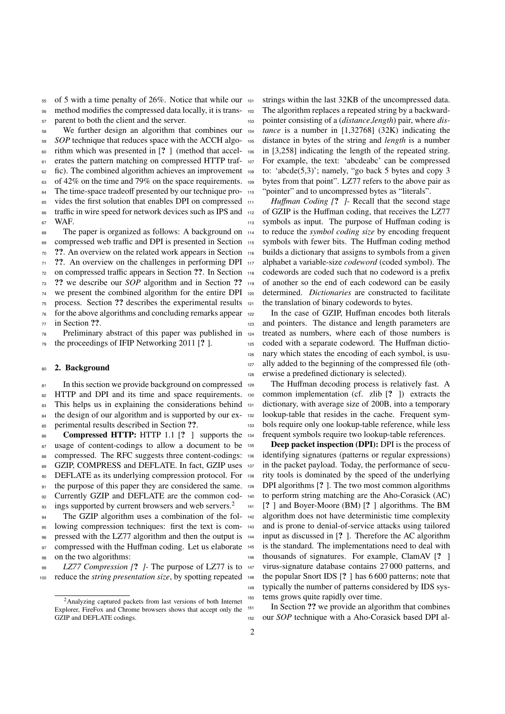of 5 with a time penalty of 26%. Notice that while our method modifies the compressed data locally, it is trans-parent to both the client and the server.

 We further design an algorithm that combines our *SOP* technique that reduces space with the ACCH algo- rithm which was presented in [? ] (method that accelerates the pattern matching on compressed HTTP traf- fic). The combined algorithm achieves an improvement 63 of 42% on the time and 79% on the space requirements. <sup>64</sup> The time-space tradeoff presented by our technique pro-<sup>65</sup> vides the first solution that enables DPI on compressed <sup>111</sup> 66 traffic in wire speed for network devices such as IPS and 112 67 WAF. The paper is organized as follows: A background on

69 compressed web traffic and DPI is presented in Section 115 ??. An overview on the related work appears in Section ??. An overview on the challenges in performing DPI on compressed traffic appears in Section ??. In Section ?? we describe our *SOP* algorithm and in Section ?? we present the combined algorithm for the entire DPI process. Section ?? describes the experimental results for the above algorithms and concluding remarks appear in Section ??.

 Preliminary abstract of this paper was published in the proceedings of IFIP Networking 2011 [? ].

#### 2. Background

81 In this section we provide background on compressed 82 HTTP and DPI and its time and space requirements. This helps us in explaining the considerations behind <sup>84</sup> the design of our algorithm and is supported by our ex-perimental results described in Section ??.

**Compressed HTTP:** HTTP 1.1 [? ] supports the 134 usage of content-codings to allow a document to be compressed. The RFC suggests three content-codings: GZIP, COMPRESS and DEFLATE. In fact, GZIP uses DEFLATE as its underlying compression protocol. For the purpose of this paper they are considered the same. 92 Currently GZIP and DEFLATE are the common codings supported by current browsers and web servers.<sup>2</sup> <sup>94</sup> The GZIP algorithm uses a combination of the fol-

95 lowing compression techniques: first the text is compressed with the LZ77 algorithm and then the output is 97 compressed with the Huffman coding. Let us elaborate on the two algorithms:

*LZ77 Compression [? ]*- The purpose of LZ77 is to 147 reduce the *string presentation size*, by spotting repeated

strings within the last 32KB of the uncompressed data. The algorithm replaces a repeated string by a backward- pointer consisting of a (*distance*,*length*) pair, where *dis- tance* is a number in [1,32768] (32K) indicating the distance in bytes of the string and *length* is a number in [3,258] indicating the length of the repeated string. For example, the text: 'abcdeabc' can be compressed to: 'abcde(5,3)'; namely, "go back 5 bytes and copy 3 bytes from that point". LZ77 refers to the above pair as "pointer" and to uncompressed bytes as "literals".

Huffman Coding [? ] - Recall that the second stage of GZIP is the Huffman coding, that receives the LZ77 symbols as input. The purpose of Huffman coding is to reduce the *symbol coding size* by encoding frequent symbols with fewer bits. The Huffman coding method builds a dictionary that assigns to symbols from a given alphabet a variable-size *codeword* (coded symbol). The codewords are coded such that no codeword is a prefix of another so the end of each codeword can be easily determined. *Dictionaries* are constructed to facilitate the translation of binary codewords to bytes.

 In the case of GZIP, Huffman encodes both literals and pointers. The distance and length parameters are treated as numbers, where each of those numbers is coded with a separate codeword. The Huffman dictio- nary which states the encoding of each symbol, is usu- ally added to the beginning of the compressed file (oth-erwise a predefined dictionary is selected).

 The Huffman decoding process is relatively fast. A common implementation (cf. zlib [? ]) extracts the dictionary, with average size of 200B, into a temporary lookup-table that resides in the cache. Frequent sym- bols require only one lookup-table reference, while less frequent symbols require two lookup-table references.

135 Deep packet inspection (DPI): DPI is the process of identifying signatures (patterns or regular expressions) 137 in the packet payload. Today, the performance of secu- rity tools is dominated by the speed of the underlying DPI algorithms [? ]. The two most common algorithms to perform string matching are the Aho-Corasick (AC) [? ] and Boyer-Moore (BM) [? ] algorithms. The BM algorithm does not have deterministic time complexity and is prone to denial-of-service attacks using tailored input as discussed in  $[?]$ . Therefore the AC algorithm is the standard. The implementations need to deal with thousands of signatures. For example, ClamAV  $[? \; ]$ virus-signature database contains 27 000 patterns, and the popular Snort IDS  $[? \]$  has 6 600 patterns; note that typically the number of patterns considered by IDS sys-tems grows quite rapidly over time.

<sup>151</sup> In Section ?? we provide an algorithm that combines our *SOP* technique with a Aho-Corasick based DPI al-

Analyzing captured packets from last versions of both Internet Explorer, FireFox and Chrome browsers shows that accept only the GZIP and DEFLATE codings.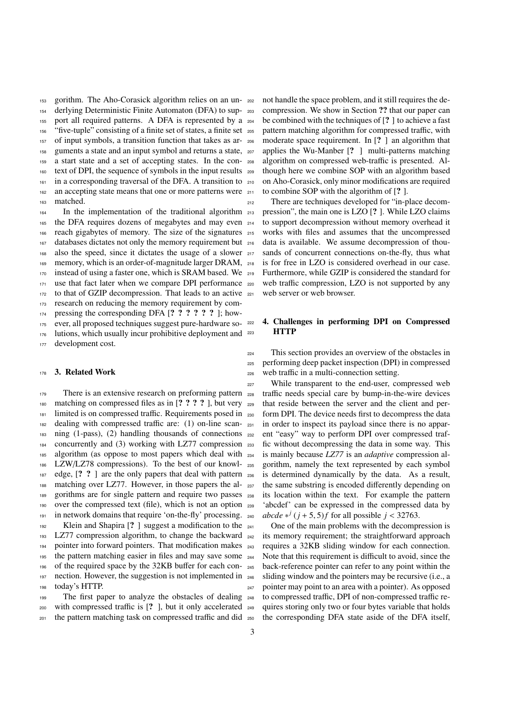gorithm. The Aho-Corasick algorithm relies on an un- derlying Deterministic Finite Automaton (DFA) to sup- port all required patterns. A DFA is represented by a "five-tuple" consisting of a finite set of states, a finite set of input symbols, a transition function that takes as ar- guments a state and an input symbol and returns a state, a start state and a set of accepting states. In the con- text of DPI, the sequence of symbols in the input results 161 in a corresponding traversal of the DFA. A transition to 210 162 an accepting state means that one or more patterns were 211 <sup>163</sup> matched.

 In the implementation of the traditional algorithm the DFA requires dozens of megabytes and may even 214 reach gigabytes of memory. The size of the signatures databases dictates not only the memory requirement but also the speed, since it dictates the usage of a slower 169 memory, which is an order-of-magnitude larger DRAM, 218 170 instead of using a faster one, which is SRAM based. We 219 171 use that fact later when we compare DPI performance 220 to that of GZIP decompression. That leads to an active research on reducing the memory requirement by com- pressing the corresponding DFA  $[? ? ? ? ?$  ; how- ever, all proposed techniques suggest pure-hardware so-176 lutions, which usually incur prohibitive deployment and <sup>223</sup> development cost.

#### <sup>178</sup> 3. Related Work

179 There is an extensive research on preforming pattern <sup>180</sup> matching on compressed files as in [? ? ? ? ], but very <sup>181</sup> limited is on compressed traffic. Requirements posed in <sup>182</sup> dealing with compressed traffic are: (1) on-line scan-183 ning (1-pass), (2) handling thousands of connections 232 <sup>184</sup> concurrently and (3) working with LZ77 compression  $185$  algorithm (as oppose to most papers which deal with  $_{234}$ <sup>186</sup> LZW/LZ78 compressions). To the best of our knowl- $_{187}$  edge,  $[? ?]$  are the only papers that deal with pattern matching over LZ77. However, in those papers the al-<sup>189</sup> gorithms are for single pattern and require two passes 190 over the compressed text (file), which is not an option 239 191 in network domains that require 'on-the-fly' processing. 240 192 Klein and Shapira  $[? \]$  suggest a modification to the  $_{241}$ <sup>193</sup> LZ77 compression algorithm, to change the backward <sup>242</sup> <sup>194</sup> pointer into forward pointers. That modification makes the pattern matching easier in files and may save some <sup>196</sup> of the required space by the 32KB buffer for each con-197 nection. However, the suggestion is not implemented in  $_{246}$ <sup>198</sup> today's HTTP.

199 The first paper to analyze the obstacles of dealing 248 <sup>200</sup> with compressed traffic is [? ], but it only accelerated <sup>201</sup> the pattern matching task on compressed traffic and did

not handle the space problem, and it still requires the decompression. We show in Section ?? that our paper can be combined with the techniques of  $[? \]$  to achieve a fast pattern matching algorithm for compressed traffic, with <sup>206</sup> moderate space requirement. In [? ] an algorithm that <sup>207</sup> applies the Wu-Manber [? ] multi-patterns matching algorithm on compressed web-traffic is presented. Al-<sup>209</sup> though here we combine SOP with an algorithm based on Aho-Corasick, only minor modifications are required to combine SOP with the algorithm of  $[?]$ .

<sup>212</sup> There are techniques developed for "in-place decompression", the main one is LZO [? ]. While LZO claims to support decompression without memory overhead it works with files and assumes that the uncompressed data is available. We assume decompression of thousands of concurrent connections on-the-fly, thus what is for free in LZO is considered overhead in our case. Furthermore, while GZIP is considered the standard for web traffic compression, LZO is not supported by any <sup>221</sup> web server or web browser.

# <sup>222</sup> 4. Challenges in performing DPI on Compressed **HTTP**

<sup>224</sup> This section provides an overview of the obstacles in <sup>225</sup> performing deep packet inspection (DPI) in compressed <sup>226</sup> web traffic in a multi-connection setting.

 While transparent to the end-user, compressed web traffic needs special care by bump-in-the-wire devices that reside between the server and the client and perform DPI. The device needs first to decompress the data in order to inspect its payload since there is no apparent "easy" way to perform DPI over compressed traffic without decompressing the data in some way. This is mainly because *LZ77* is an *adaptive* compression al- gorithm, namely the text represented by each symbol is determined dynamically by the data. As a result, the same substring is encoded differently depending on its location within the text. For example the pattern 'abcdef' can be expressed in the compressed data by *abcde*  $*^{j}$  (*j* + 5, 5)*f* for all possible *j* < 32763.

One of the main problems with the decompression is its memory requirement; the straightforward approach <sup>243</sup> requires a 32KB sliding window for each connection. Note that this requirement is difficult to avoid, since the <sup>245</sup> back-reference pointer can refer to any point within the sliding window and the pointers may be recursive (i.e., a <sup>247</sup> pointer may point to an area with a pointer). As opposed to compressed traffic, DPI of non-compressed traffic re-<sup>249</sup> quires storing only two or four bytes variable that holds the corresponding DFA state aside of the DFA itself,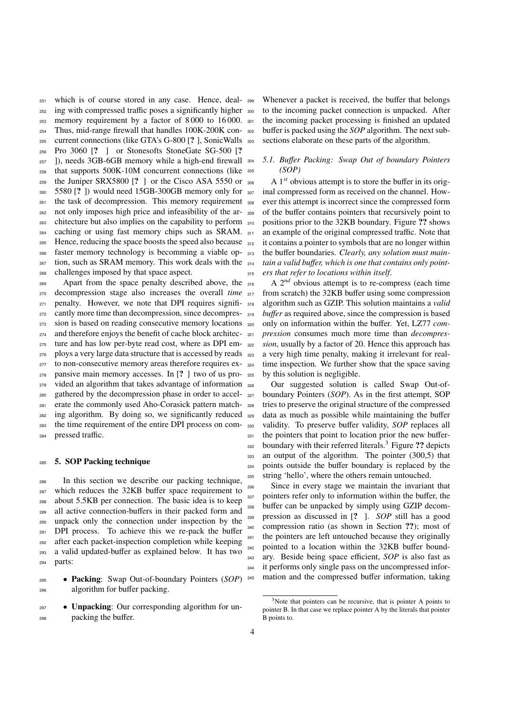which is of course stored in any case. Hence, deal- ing with compressed traffic poses a significantly higher memory requirement by a factor of 8 000 to 16 000. Thus, mid-range firewall that handles 100K-200K con- current connections (like GTA's G-800 [? ], SonicWalls Pro 3060 [? ] or Stonesofts StoneGate SG-500 [? ]), needs 3GB-6GB memory while a high-end firewall that supports 500K-10M concurrent connections (like the Juniper SRX5800 [? ] or the Cisco ASA 5550 or 5580 [? ]) would need 15GB-300GB memory only for  $307$  $_{261}$  the task of decompression. This memory requirement  $_{308}$  not only imposes high price and infeasibility of the ar- $_{309}$  chitecture but also implies on the capability to perform caching or using fast memory chips such as SRAM. 311 Hence, reducing the space boosts the speed also because  $312$  faster memory technology is becomming a viable op-267 tion, such as SRAM memory. This work deals with the 314 challenges imposed by that space aspect.

269 Apart from the space penalty described above, the 316 decompression stage also increases the overall *time* penalty. However, we note that DPI requires signifi- cantly more time than decompression, since decompres- sion is based on reading consecutive memory locations and therefore enjoys the benefit of cache block architec-275 ture and has low per-byte read cost, where as DPI em- 322 ploys a very large data structure that is accessed by reads  $323$  to non-consecutive memory areas therefore requires ex- pansive main memory accesses. In [? ] two of us pro-279 vided an algorithm that takes advantage of information 326 gathered by the decompression phase in order to accel- erate the commonly used Aho-Corasick pattern match- ing algorithm. By doing so, we significantly reduced the time requirement of the entire DPI process on com-pressed traffic.

### 5. SOP Packing technique

 In this section we describe our packing technique, which reduces the 32KB buffer space requirement to about 5.5KB per connection. The basic idea is to keep all active connection-buffers in their packed form and unpack only the connection under inspection by the DPI process. To achieve this we re-pack the buffer after each packet-inspection completion while keeping a valid updated-buffer as explained below. It has two parts:

- Packing: Swap Out-of-boundary Pointers (*SOP*) algorithm for buffer packing.
- Unpacking: Our corresponding algorithm for un-packing the buffer.

Whenever a packet is received, the buffer that belongs to the incoming packet connection is unpacked. After the incoming packet processing is finished an updated buffer is packed using the *SOP* algorithm. The next sub-sections elaborate on these parts of the algorithm.

# *5.1. Bu*ff*er Packing: Swap Out of boundary Pointers (SOP)*

306 A 1<sup>st</sup> obvious attempt is to store the buffer in its original compressed form as received on the channel. However this attempt is incorrect since the compressed form of the buffer contains pointers that recursively point to positions prior to the 32KB boundary. Figure ?? shows an example of the original compressed traffic. Note that it contains a pointer to symbols that are no longer within the buffer boundaries. *Clearly, any solution must main*tain a valid buffer, which is one that contains only point-*ers that refer to locations within itself*.

316 A 2<sup>nd</sup> obvious attempt is to re-compress (each time from scratch) the 32KB buffer using some compression algorithm such as GZIP. This solution maintains a *valid bu*ff*er* as required above, since the compression is based only on information within the buffer. Yet, LZ77 *com- pression* consumes much more time than *decompres*sion, usually by a factor of 20. Hence this approach has a very high time penalty, making it irrelevant for realtime inspection. We further show that the space saving by this solution is negligible.

Our suggested solution is called Swap Out-ofboundary Pointers (*SOP*). As in the first attempt, SOP tries to preserve the original structure of the compressed data as much as possible while maintaining the buffer validity. To preserve buffer validity, *SOP* replaces all 331 the pointers that point to location prior the new buffer- $_{332}$  boundary with their referred literals.<sup>3</sup> Figure ?? depicts 333 an output of the algorithm. The pointer (300,5) that points outside the buffer boundary is replaced by the string 'hello', where the others remain untouched.

 Since in every stage we maintain the invariant that 337 pointers refer only to information within the buffer, the buffer can be unpacked by simply using GZIP decom- pression as discussed in [? ]. *SOP* still has a good compression ratio (as shown in Section ??); most of the pointers are left untouched because they originally 342 pointed to a location within the 32KB buffer bound- ary. Beside being space efficient, *SOP* is also fast as <sup>344</sup> it performs only single pass on the uncompressed information and the compressed buffer information, taking

Note that pointers can be recursive, that is pointer A points to pointer B. In that case we replace pointer A by the literals that pointer B points to.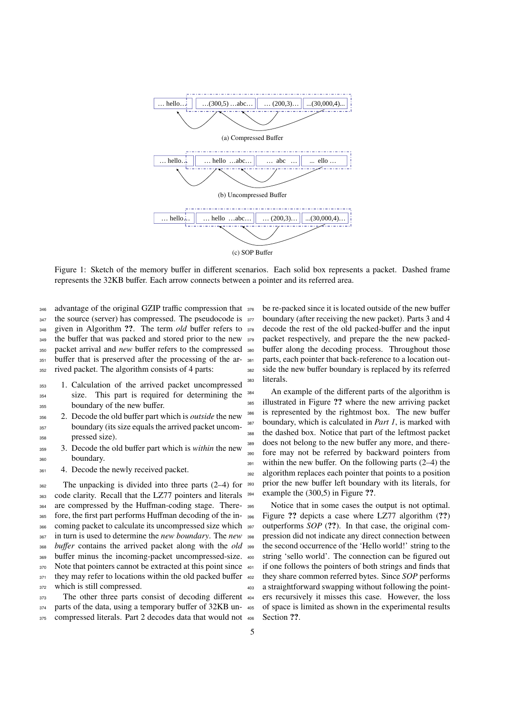

Figure 1: Sketch of the memory buffer in different scenarios. Each solid box represents a packet. Dashed frame represents the 32KB buffer. Each arrow connects between a pointer and its referred area.

346 advantage of the original GZIP traffic compression that 376 347 the source (server) has compressed. The pseudocode is 377 348 given in Algorithm ??. The term *old* buffer refers to 378 349 the buffer that was packed and stored prior to the new 379 350 packet arrival and *new* buffer refers to the compressed 380 351 buffer that is preserved after the processing of the ar-<sup>352</sup> rived packet. The algorithm consists of 4 parts:

- <sup>353</sup> 1. Calculation of the arrived packet uncompressed <sup>354</sup> size. This part is required for determining the <sup>355</sup> boundary of the new buffer.
- <sup>356</sup> 2. Decode the old buffer part which is *outside* the new <sup>357</sup> boundary (its size equals the arrived packet uncompressed size).
- <sup>359</sup> 3. Decode the old buffer part which is *within* the new <sup>360</sup> boundary.
- 361 4. Decode the newly received packet.

<sup>362</sup> The unpacking is divided into three parts (2–4) for <sup>363</sup> code clarity. Recall that the LZ77 pointers and literals 364 are compressed by the Huffman-coding stage. There- 395 365 fore, the first part performs Huffman decoding of the in-366 coming packet to calculate its uncompressed size which 397 <sup>367</sup> in turn is used to determine the *new boundary*. The *new* buffer contains the arrived packet along with the *old* 399 <sup>369</sup> buffer minus the incoming-packet uncompressed-size. 370 Note that pointers cannot be extracted at this point since 371 they may refer to locations within the old packed buffer 402 <sup>372</sup> which is still compressed.

373 The other three parts consist of decoding different 404 <sup>374</sup> parts of the data, using a temporary buffer of 32KB un-<sup>375</sup> compressed literals. Part 2 decodes data that would not

be re-packed since it is located outside of the new buffer boundary (after receiving the new packet). Parts 3 and 4 decode the rest of the old packed-buffer and the input packet respectively, and prepare the the new packedbuffer along the decoding process. Throughout those parts, each pointer that back-reference to a location out-<sup>382</sup> side the new buffer boundary is replaced by its referred <sup>383</sup> literals.

 An example of the different parts of the algorithm is illustrated in Figure ?? where the new arriving packet is represented by the rightmost box. The new buffer boundary, which is calculated in *Part 1*, is marked with the dashed box. Notice that part of the leftmost packet does not belong to the new buffer any more, and there- fore may not be referred by backward pointers from within the new buffer. On the following parts (2–4) the 392 algorithm replaces each pointer that points to a position prior the new buffer left boundary with its literals, for 394 example the (300,5) in Figure ??.

Notice that in some cases the output is not optimal. Figure ?? depicts a case where  $LZ77$  algorithm  $(?)$ outperforms *SOP* (??). In that case, the original compression did not indicate any direct connection between the second occurrence of the 'Hello world!' string to the <sup>400</sup> string 'sello world'. The connection can be figured out <sup>401</sup> if one follows the pointers of both strings and finds that they share common referred bytes. Since *SOP* performs a straightforward swapping without following the pointers recursively it misses this case. However, the loss <sup>405</sup> of space is limited as shown in the experimental results <sup>406</sup> Section ??.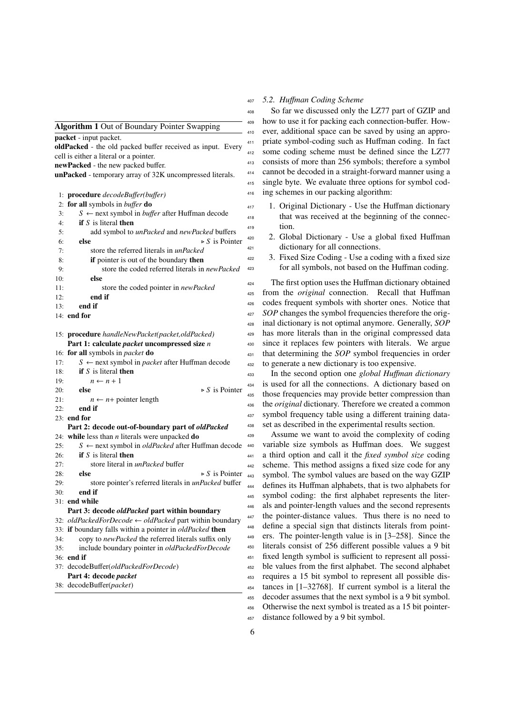### Algorithm 1 Out of Boundary Pointer Swapping

packet - input packet.

oldPacked - the old packed buffer received as input. Every cell is either a literal or a pointer. newPacked - the new packed buffer.

unPacked - temporary array of 32K uncompressed literals.

- 1: procedure *decodeBu*ff*er(bu*ff*er)*
- 2: for all symbols in *bu*ff*er* do
- 3:  $S \leftarrow$  next symbol in *buffer* after Huffman decode<br>4: **if** S is literal **then**
- if *S* is literal then
- 5: add symbol to *unPacked* and *newPacked* buffers
- 6: **else**  $\triangleright S$  is Pointer 7: store the referred literals in *unPacked*
- 8: if pointer is out of the boundary then
- 9: store the coded referred literals in *newPacked*
- 10: else
- 11: store the coded pointer in *newPacked*
- 12: end if
- 13: end if
- 14: end for
- 15: procedure *handleNewPacket(packet,oldPacked)* Part 1: calculate *packet* uncompressed size *n*
- 16: for all symbols in *packet* do
- 17:  $S \leftarrow$  next symbol in *packet* after Huffman decode<br>18: **if** S is literal **then** if *S* is literal then 19:  $n \leftarrow n + 1$ <br>20: **else** ► *S* is Pointer 21:  $n \leftarrow n +$  pointer length<br>22: **end if** end if 23: end for Part 2: decode out-of-boundary part of *oldPacked* 24: while less than *n* literals were unpacked do 25:  $S \leftarrow$  next symbol in *oldPacked* after Huffman decode 26: if *S* is literal then 27: store literal in *unPacked* buffer 28:  $\mathbf{else}$  **Plane** 29: store pointer's referred literals in *unPacked* buffer
- 30: end if

# 31: end while

- Part 3: decode *oldPacked* part within boundary
- 32: *oldPackedForDecode* ← *oldPacked* part within boundary
- 33: if boundary falls within a pointer in *oldPacked* then
- 34: copy to *newPacked* the referred literals suffix only 35: include boundary pointer in *oldPackedForDecode*
- 36: end if
- 37: decodeBuffer(*oldPackedForDecode*) Part 4: decode *packet*
- 38: decodeBuffer(*packet*)

# <sup>407</sup> *5.2. Hu*ff*man Coding Scheme*

 So far we discussed only the LZ77 part of GZIP and how to use it for packing each connection-buffer. How- ever, additional space can be saved by using an appro- priate symbol-coding such as Huffman coding. In fact some coding scheme must be defined since the LZ77 consists of more than 256 symbols; therefore a symbol cannot be decoded in a straight-forward manner using a single byte. We evaluate three options for symbol cod-ing schemes in our packing algorithm:

- 417 1. Original Dictionary Use the Huffman dictionary <sup>418</sup> that was received at the beginning of the connec-<sup>419</sup> tion.
- <sup>420</sup> 2. Global Dictionary Use a global fixed Huffman 421 dictionary for all connections.
- $422$  3. Fixed Size Coding Use a coding with a fixed size <sup>423</sup> for all symbols, not based on the Huffman coding.

 The first option uses the Huffman dictionary obtained from the *original* connection. Recall that Huffman codes frequent symbols with shorter ones. Notice that *SOP* changes the symbol frequencies therefore the orig- inal dictionary is not optimal anymore. Generally, *SOP* has more literals than in the original compressed data since it replaces few pointers with literals. We argue that determining the *SOP* symbol frequencies in order to generate a new dictionary is too expensive.

 In the second option one *global Hu*ff*man dictionary* is used for all the connections. A dictionary based on those frequencies may provide better compression than the *original* dictionary. Therefore we created a common symbol frequency table using a different training data-set as described in the experimental results section.

 Assume we want to avoid the complexity of coding variable size symbols as Huffman does. We suggest a third option and call it the *fixed symbol size* coding scheme. This method assigns a fixed size code for any symbol. The symbol values are based on the way GZIP defines its Huffman alphabets, that is two alphabets for symbol coding: the first alphabet represents the liter- als and pointer-length values and the second represents the pointer-distance values. Thus there is no need to define a special sign that distincts literals from point- ers. The pointer-length value is in [3–258]. Since the literals consist of 256 different possible values a 9 bit fixed length symbol is sufficient to represent all possi- ble values from the first alphabet. The second alphabet requires a 15 bit symbol to represent all possible dis- tances in [1–32768]. If current symbol is a literal the decoder assumes that the next symbol is a 9 bit symbol. Otherwise the next symbol is treated as a 15 bit pointer-distance followed by a 9 bit symbol.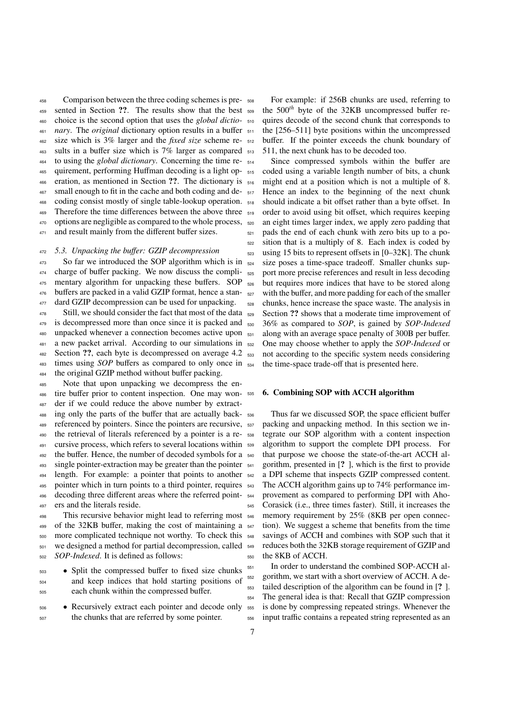<sup>458</sup> Comparison between the three coding schemes is pre-459 sented in Section ??. The results show that the best 509 choice is the second option that uses the *global dictio- nary*. The *original* dictionary option results in a buffer size which is 3% larger and the *fixed size* scheme re- sults in a buffer size which is 7% larger as compared to using the *global dictionary*. Concerning the time re- quirement, performing Huffman decoding is a light op- eration, as mentioned in Section ??. The dictionary is small enough to fit in the cache and both coding and de-468 coding consist mostly of single table-lookup operation.  $_{518}$ 469 Therefore the time differences between the above three  $_{519}$ 470 options are negligible as compared to the whole process, 471 and result mainly from the different buffer sizes.

# *5.3. Unpacking the bu*ff*er: GZIP decompression*

 So far we introduced the SOP algorithm which is in charge of buffer packing. We now discuss the compli-475 mentary algorithm for unpacking these buffers. SOP buffers are packed in a valid GZIP format, hence a stan-477 dard GZIP decompression can be used for unpacking. Still, we should consider the fact that most of the data is decompressed more than once since it is packed and unpacked whenever a connection becomes active upon a new packet arrival. According to our simulations in 482 Section ??, each byte is decompressed on average 4.2  $_{533}$ 483 times using *SOP* buffers as compared to only once in  $_{534}$  the original GZIP method without buffer packing. Note that upon unpacking we decompress the en- tire buffer prior to content inspection. One may wonder if we could reduce the above number by extract- ing only the parts of the buffer that are actually back-489 referenced by pointers. Since the pointers are recursive, the retrieval of literals referenced by a pointer is a re-

491 cursive process, which refers to several locations within  $\frac{539}{2}$ 492 the buffer. Hence, the number of decoded symbols for a 540 single pointer-extraction may be greater than the pointer length. For example: a pointer that points to another 495 pointer which in turn points to a third pointer, requires 543 decoding three different areas where the referred point-ers and the literals reside.

498 This recursive behavior might lead to referring most  $\frac{546}{2}$ 499 of the 32KB buffer, making the cost of maintaining a 500 more complicated technique not worthy. To check this 548 we designed a method for partial decompression, called  $_{549}$ *SOP-Indexed*. It is defined as follows:

- Split the compressed buffer to fixed size chunks and keep indices that hold starting positions of each chunk within the compressed buffer.
- Recursively extract each pointer and decode only the chunks that are referred by some pointer.

 For example: if 256B chunks are used, referring to 509 the 500<sup>th</sup> byte of the 32KB uncompressed buffer re- quires decode of the second chunk that corresponds to the  $[256-511]$  byte positions within the uncompressed buffer. If the pointer exceeds the chunk boundary of 511, the next chunk has to be decoded too.

Since compressed symbols within the buffer are coded using a variable length number of bits, a chunk might end at a position which is not a multiple of 8. Hence an index to the beginning of the next chunk should indicate a bit offset rather than a byte offset. In order to avoid using bit offset, which requires keeping an eight times larger index, we apply zero padding that pads the end of each chunk with zero bits up to a po- sition that is a multiply of 8. Each index is coded by using 15 bits to represent offsets in [0–32K]. The chunk size poses a time-space tradeoff. Smaller chunks sup- port more precise references and result in less decoding but requires more indices that have to be stored along with the buffer, and more padding for each of the smaller chunks, hence increase the space waste. The analysis in Section ?? shows that a moderate time improvement of 36% as compared to *SOP*, is gained by *SOP-Indexed* along with an average space penalty of 300B per buffer. One may choose whether to apply the *SOP-Indexed* or not according to the specific system needs considering the time-space trade-off that is presented here.

#### 6. Combining SOP with ACCH algorithm

 Thus far we discussed SOP, the space efficient buffer packing and unpacking method. In this section we in- tegrate our SOP algorithm with a content inspection algorithm to support the complete DPI process. For that purpose we choose the state-of-the-art ACCH al- gorithm, presented in [? ], which is the first to provide a DPI scheme that inspects GZIP compressed content. The ACCH algorithm gains up to 74% performance im- provement as compared to performing DPI with Aho- Corasick (i.e., three times faster). Still, it increases the memory requirement by 25% (8KB per open connection). We suggest a scheme that benefits from the time savings of ACCH and combines with SOP such that it reduces both the 32KB storage requirement of GZIP and the 8KB of ACCH.

 In order to understand the combined SOP-ACCH al- gorithm, we start with a short overview of ACCH. A de- tailed description of the algorithm can be found in [? ]. The general idea is that: Recall that GZIP compression is done by compressing repeated strings. Whenever the input traffic contains a repeated string represented as an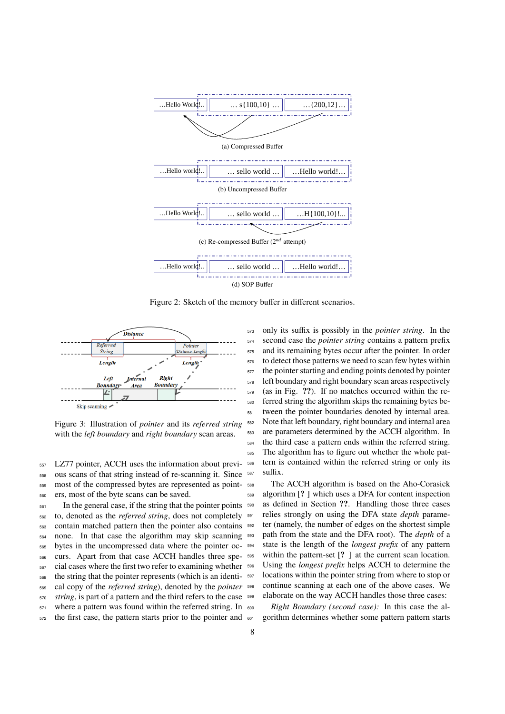

Figure 2: Sketch of the memory buffer in different scenarios.



Figure 3: Illustration of *pointer* and its *referred string* with the *left boundary* and *right boundary* scan areas.

 LZ77 pointer, ACCH uses the information about previ- ous scans of that string instead of re-scanning it. Since most of the compressed bytes are represented as point-ers, most of the byte scans can be saved.

 In the general case, if the string that the pointer points to, denoted as the *referred string*, does not completely contain matched pattern then the pointer also contains none. In that case the algorithm may skip scanning bytes in the uncompressed data where the pointer oc- curs. Apart from that case ACCH handles three spe- cial cases where the first two refer to examining whether the string that the pointer represents (which is an identi- cal copy of the *referred string*), denoted by the *pointer string*, is part of a pattern and the third refers to the case where a pattern was found within the referred string. In the first case, the pattern starts prior to the pointer and

 only its suffix is possibly in the *pointer string*. In the second case the *pointer string* contains a pattern prefix and its remaining bytes occur after the pointer. In order to detect those patterns we need to scan few bytes within the pointer starting and ending points denoted by pointer left boundary and right boundary scan areas respectively (as in Fig. ??). If no matches occurred within the re- ferred string the algorithm skips the remaining bytes be- tween the pointer boundaries denoted by internal area. Note that left boundary, right boundary and internal area are parameters determined by the ACCH algorithm. In the third case a pattern ends within the referred string. The algorithm has to figure out whether the whole pat- tern is contained within the referred string or only its suffix.

 The ACCH algorithm is based on the Aho-Corasick algorithm [? ] which uses a DFA for content inspection as defined in Section ??. Handling those three cases relies strongly on using the DFA state *depth* parame- ter (namely, the number of edges on the shortest simple path from the state and the DFA root). The *depth* of a state is the length of the *longest prefix* of any pattern within the pattern-set [? ] at the current scan location. Using the *longest prefix* helps ACCH to determine the 597 locations within the pointer string from where to stop or continue scanning at each one of the above cases. We elaborate on the way ACCH handles those three cases:

 *Right Boundary (second case):* In this case the al-gorithm determines whether some pattern pattern starts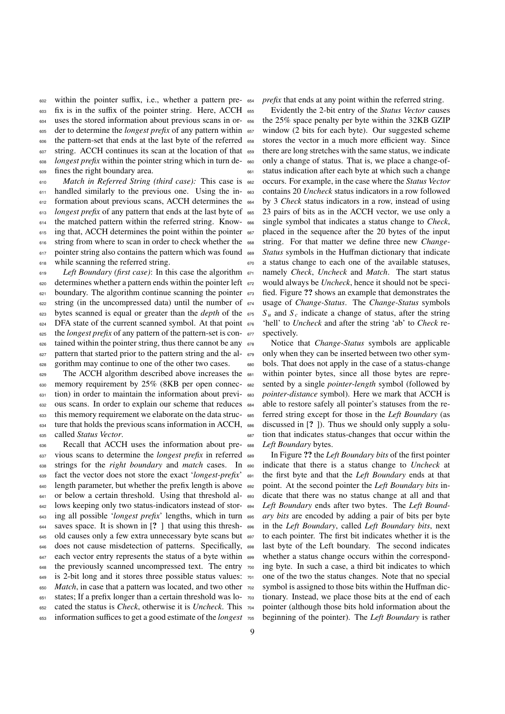within the pointer suffix, i.e., whether a pattern pre- $654$  fix is in the suffix of the pointer string. Here, ACCH uses the stored information about previous scans in or- der to determine the *longest prefix* of any pattern within the pattern-set that ends at the last byte of the referred string. ACCH continues its scan at the location of that *longest prefix* within the pointer string which in turn de-fines the right boundary area.

<sup>610</sup> *Match in Referred String (third case):* This case is <sup>611</sup> handled similarly to the previous one. Using the in-612 formation about previous scans, ACCH determines the 664 <sup>613</sup> *longest prefix* of any pattern that ends at the last byte of <sup>665</sup> 614 the matched pattern within the referred string. Know- 666 <sup>615</sup> ing that, ACCH determines the point within the pointer 616 string from where to scan in order to check whether the <sup>617</sup> pointer string also contains the pattern which was found <sup>618</sup> while scanning the referred string.

 *Left Boundary (first case)*: In this case the algorithm determines whether a pattern ends within the pointer left boundary. The algorithm continue scanning the pointer  $673$  string (in the uncompressed data) until the number of bytes scanned is equal or greater than the *depth* of the DFA state of the current scanned symbol. At that point the *longest prefix* of any pattern of the pattern-set is con- tained within the pointer string, thus there cannot be any  $678$ <sup>627</sup> pattern that started prior to the pattern string and the al-628 gorithm may continue to one of the other two cases.

629 The ACCH algorithm described above increases the 681 memory requirement by 25% (8KB per open connec- tion) in order to maintain the information about previ- ous scans. In order to explain our scheme that reduces this memory requirement we elaborate on the data struc-634 ture that holds the previous scans information in ACCH, 686 called *Status Vector*.

<sup>636</sup> Recall that ACCH uses the information about pre-<sup>637</sup> vious scans to determine the *longest prefix* in referred strings for the *right boundary* and *match* cases. In 690 <sup>639</sup> fact the vector does not store the exact '*longest-prefix*' <sup>640</sup> length parameter, but whether the prefix length is above <sup>641</sup> or below a certain threshold. Using that threshold al-642 lows keeping only two status-indicators instead of stor-694 <sup>643</sup> ing all possible '*longest prefix*' lengths, which in turn 644 saves space. It is shown in  $[? \;]$  that using this thresh- 696 645 old causes only a few extra unnecessary byte scans but 697 does not cause misdetection of patterns. Specifically, 698 647 each vector entry represents the status of a byte within 699 <sup>648</sup> the previously scanned uncompressed text. The entry  $700$ 649 is 2-bit long and it stores three possible status values: 701 650 *Match*, in case that a pattern was located, and two other 702 <sup>651</sup> states; If a prefix longer than a certain threshold was lo-<sup>652</sup> cated the status is *Check*, otherwise it is *Uncheck*. This <sup>653</sup> information suffices to get a good estimate of the *longest*

*prefix* that ends at any point within the referred string.

 Evidently the 2-bit entry of the *Status Vector* causes the 25% space penalty per byte within the 32KB GZIP window (2 bits for each byte). Our suggested scheme stores the vector in a much more efficient way. Since there are long stretches with the same status, we indicate only a change of status. That is, we place a change-of- status indication after each byte at which such a change occurs. For example, in the case where the *Status Vector* contains 20 *Uncheck* status indicators in a row followed by 3 *Check* status indicators in a row, instead of using 23 pairs of bits as in the ACCH vector, we use only a single symbol that indicates a status change to *Check*. placed in the sequence after the 20 bytes of the input string. For that matter we define three new *Change- Status* symbols in the Huffman dictionary that indicate a status change to each one of the available statuses, namely *Check*, *Uncheck* and *Match*. The start status would always be *Uncheck*, hence it should not be specified. Figure ?? shows an example that demonstrates the usage of *Change-Status*. The *Change-Status* symbols  $s_{75}$  *S<sub>u</sub>* and *S<sub>c</sub>* indicate a change of status, after the string 'hell' to *Uncheck* and after the string 'ab' to *Check* re-<sup>677</sup> spectively.

Notice that *Change-Status* symbols are applicable <sub>679</sub> only when they can be inserted between two other sym-<sup>680</sup> bols. That does not apply in the case of a status-change within pointer bytes, since all those bytes are repre-<sup>682</sup> sented by a single *pointer-length* symbol (followed by *pointer-distance* symbol). Here we mark that ACCH is <sup>684</sup> able to restore safely all pointer's statuses from the re-<sup>685</sup> ferred string except for those in the *Left Boundary* (as discussed in  $[?]$ ). Thus we should only supply a solu-<sup>687</sup> tion that indicates status-changes that occur within the <sup>688</sup> *Left Boundary* bytes.

<sup>689</sup> In Figure ?? the *Left Boundary bits* of the first pointer indicate that there is a status change to *Uncheck* at <sup>691</sup> the first byte and that the *Left Boundary* ends at that <sup>692</sup> point. At the second pointer the *Left Boundary bits* in-<sup>693</sup> dicate that there was no status change at all and that Left Boundary ends after two bytes. The Left Bound*ary bits* are encoded by adding a pair of bits per byte <sup>696</sup> in the *Left Boundary*, called *Left Boundary bits*, next to each pointer. The first bit indicates whether it is the last byte of the Left boundary. The second indicates whether a status change occurs within the corresponding byte. In such a case, a third bit indicates to which one of the two the status changes. Note that no special symbol is assigned to those bits within the Huffman dic-<sup>703</sup> tionary. Instead, we place those bits at the end of each <sup>704</sup> pointer (although those bits hold information about the <sup>705</sup> beginning of the pointer). The *Left Boundary* is rather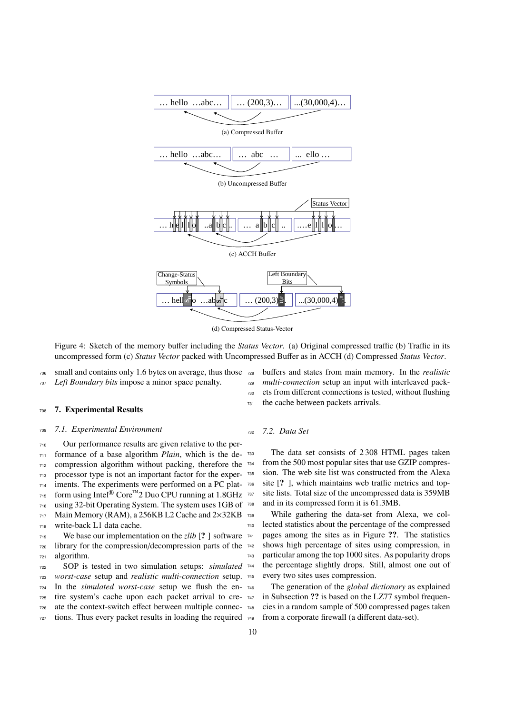

(d) Compressed Status-Vector

Figure 4: Sketch of the memory buffer including the *Status Vector*. (a) Original compressed traffic (b) Traffic in its uncompressed form (c) *Status Vector* packed with Uncompressed Buffer as in ACCH (d) Compressed *Status Vector*.

- $706$  small and contains only 1.6 bytes on average, thus those  $728$
- <sup>707</sup> *Left Boundary bits* impose a minor space penalty.

# <sup>708</sup> 7. Experimental Results

### <sup>709</sup> *7.1. Experimental Environment*

 Our performance results are given relative to the per- formance of a base algorithm *Plain*, which is the de- compression algorithm without packing, therefore the processor type is not an important factor for the exper- iments. The experiments were performed on a PC platform using Intel® Core™ <sup>715</sup> 2 Duo CPU running at 1.8GHz using 32-bit Operating System. The system uses 1GB of 717 Main Memory (RAM), a 256KB L2 Cache and  $2 \times 32KB$ <br>718 write-back L1 data cache. write-back L1 data cache.

 $_{719}$  We base our implementation on the *zlib* [? ] software  $_{741}$ 720 library for the compression/decompression parts of the 742 <sup>721</sup> algorithm.

 SOP is tested in two simulation setups: *simulated worst-case* setup and *realistic multi-connection* setup. In the *simulated worst-case* setup we flush the en- tire system's cache upon each packet arrival to cre- ate the context-switch effect between multiple connec-tions. Thus every packet results in loading the required

buffers and states from main memory. In the *realistic multi-connection* setup an input with interleaved pack- ets from different connections is tested, without flushing the cache between packets arrivals.

# <sup>732</sup> *7.2. Data Set*

 The data set consists of 2 308 HTML pages taken from the 500 most popular sites that use GZIP compres- sion. The web site list was constructed from the Alexa site [? ], which maintains web traffic metrics and top- site lists. Total size of the uncompressed data is 359MB and in its compressed form it is 61.3MB.

While gathering the data-set from Alexa, we col-<sup>740</sup> lected statistics about the percentage of the compressed pages among the sites as in Figure ??. The statistics shows high percentage of sites using compression, in <sup>743</sup> particular among the top 1000 sites. As popularity drops the percentage slightly drops. Still, almost one out of <sup>745</sup> every two sites uses compression.

 The generation of the *global dictionary* as explained in Subsection ?? is based on the LZ77 symbol frequen- cies in a random sample of 500 compressed pages taken from a corporate firewall (a different data-set).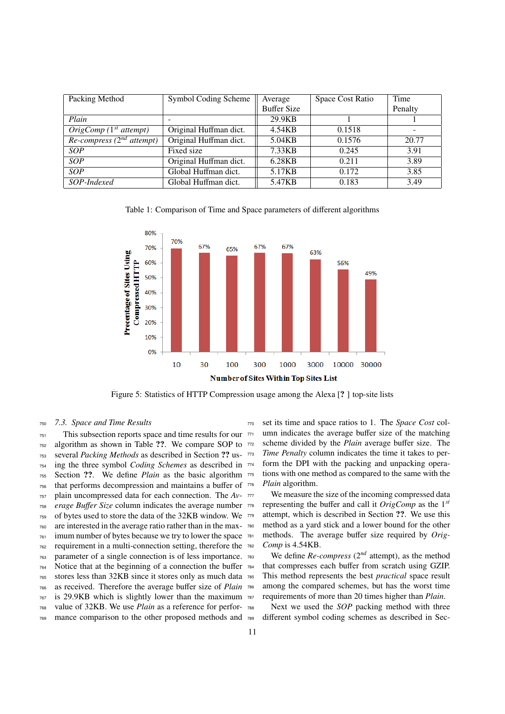| Packing Method                                 | Symbol Coding Scheme   | Average            | Space Cost Ratio | Time    |
|------------------------------------------------|------------------------|--------------------|------------------|---------|
|                                                |                        | <b>Buffer Size</b> |                  | Penalty |
| Plain                                          |                        | 29.9KB             |                  |         |
| OrigComp $(1st attempt)$                       | Original Huffman dict. | 4.54KB             | 0.1518           |         |
| $Re\text{-compress}$ (2 <sup>nd</sup> attempt) | Original Huffman dict. | 5.04KB             | 0.1576           | 20.77   |
| SOP                                            | Fixed size             | 7.33KB             | 0.245            | 3.91    |
| SOP                                            | Original Huffman dict. | 6.28KB             | 0.211            | 3.89    |
| SOP                                            | Global Huffman dict.   | 5.17KB             | 0.172            | 3.85    |
| SOP-Indexed                                    | Global Huffman dict.   | 5.47KB             | 0.183            | 3.49    |

Table 1: Comparison of Time and Space parameters of different algorithms



Figure 5: Statistics of HTTP Compression usage among the Alexa [? ] top-site lists

# <sup>750</sup> *7.3. Space and Time Results*

 This subsection reports space and time results for our algorithm as shown in Table ??. We compare SOP to several *Packing Methods* as described in Section ?? us- ing the three symbol *Coding Schemes* as described in Section ??. We define *Plain* as the basic algorithm that performs decompression and maintains a buffer of plain uncompressed data for each connection. The *Av- erage Bu*ff*er Size* column indicates the average number 778 of bytes used to store the data of the 32KB window. We are interested in the average ratio rather than in the max- imum number of bytes because we try to lower the space 762 requirement in a multi-connection setting, therefore the 782 parameter of a single connection is of less importance. Notice that at the beginning of a connection the buffer stores less than 32KB since it stores only as much data as received. Therefore the average buffer size of *Plain* 767 is 29.9KB which is slightly lower than the maximum 787 value of 32KB. We use *Plain* as a reference for perfor-mance comparison to the other proposed methods and

 set its time and space ratios to 1. The *Space Cost* col- umn indicates the average buffer size of the matching scheme divided by the *Plain* average buffer size. The *Time Penalty* column indicates the time it takes to perform the DPI with the packing and unpacking opera- tions with one method as compared to the same with the Plain algorithm.

777 We measure the size of the incoming compressed data representing the buffer and call it *OrigComp* as the 1*st* attempt, which is described in Section ??. We use this method as a yard stick and a lower bound for the other <sup>781</sup> methods. The average buffer size required by *Orig-Comp* is 4.54KB.

 $783$  We define *Re-compress* ( $2^{nd}$  attempt), as the method <sup>784</sup> that compresses each buffer from scratch using GZIP. This method represents the best *practical* space result <sup>786</sup> among the compared schemes, but has the worst time requirements of more than 20 times higher than *Plain*.

<sup>788</sup> Next we used the *SOP* packing method with three <sup>789</sup> different symbol coding schemes as described in Sec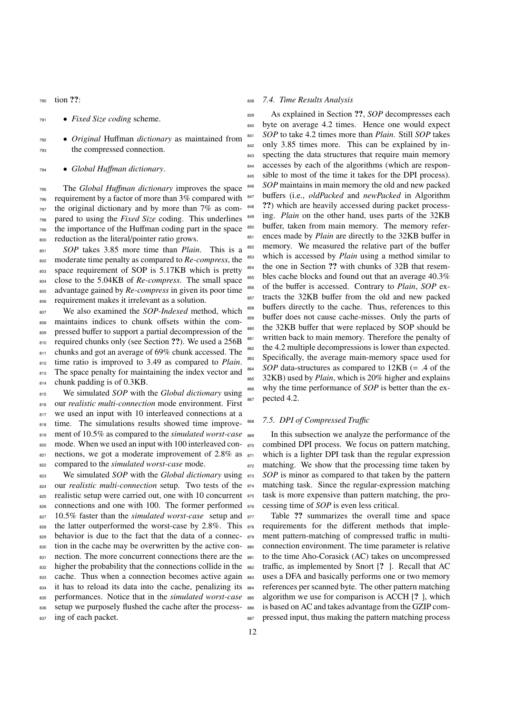<sup>790</sup> tion ??:

<sup>791</sup> • *Fixed Size coding* scheme.

<sup>792</sup> • *Original* Huffman *dictionary* as maintained from <sup>793</sup> the compressed connection.

#### <sup>794</sup> • *Global Hu*ff*man dictionary*.

 The *Global Hu*ff*man dictionary* improves the space requirement by a factor of more than 3% compared with the original dictionary and by more than 7% as com- pared to using the *Fixed Size* coding. This underlines the importance of the Huffman coding part in the space reduction as the literal/pointer ratio grows.

 *SOP* takes 3.85 more time than *Plain*. This is a moderate time penalty as compared to *Re-compress*, the space requirement of SOP is 5.17KB which is pretty close to the 5.04KB of *Re-compress*. The small space advantage gained by *Re-compress* in given its poor time requirement makes it irrelevant as a solution.

<sup>807</sup> We also examined the *SOP-Indexed* method, which <sup>808</sup> maintains indices to chunk offsets within the compressed buffer to support a partial decompression of the 810 required chunks only (see Section ??). We used a 256B 811 chunks and got an average of 69% chunk accessed. The <sup>812</sup> time ratio is improved to 3.49 as compared to *Plain*. 813 The space penalty for maintaining the index vector and 814 chunk padding is of 0.3KB.

 We simulated *SOP* with the *Global dictionary* using our *realistic multi-connection* mode environment. First 817 we used an input with 10 interleaved connections at a 818 time. The simulations results showed time improve- ment of 10.5% as compared to the *simulated worst-case* mode. When we used an input with 100 interleaved con-<sup>821</sup> nections, we got a moderate improvement of 2.8% as compared to the *simulated worst-case* mode.

<sup>823</sup> We simulated *SOP* with the *Global dictionary* using <sup>824</sup> our *realistic multi-connection* setup. Two tests of the 825 realistic setup were carried out, one with 10 concurrent 826 connections and one with 100. The former performed 876 <sup>827</sup> 10.5% faster than the *simulated worst-case* setup and 828 the latter outperformed the worst-case by 2.8%. This 878 829 behavior is due to the fact that the data of a connec- 879 tion in the cache may be overwritten by the active con-831 nection. The more concurrent connections there are the 832 higher the probability that the connections collide in the 833 cache. Thus when a connection becomes active again <sup>834</sup> it has to reload its data into the cache, penalizing its <sup>835</sup> performances. Notice that in the *simulated worst-case* 836 setup we purposely flushed the cache after the process-837 ing of each packet.

# <sup>838</sup> *7.4. Time Results Analysis*

<sup>839</sup> As explained in Section ??, *SOP* decompresses each <sup>840</sup> byte on average 4.2 times. Hence one would expect <sup>841</sup> *SOP* to take 4.2 times more than *Plain*. Still *SOP* takes <sup>842</sup> only 3.85 times more. This can be explained by in-843 specting the data structures that require main memory 844 accesses by each of the algorithms (which are respon-845 sible to most of the time it takes for the DPI process). 846 *SOP* maintains in main memory the old and new packed <sup>847</sup> buffers (i.e., *oldPacked* and *newPacked* in Algorithm 848 ??) which are heavily accessed during packet process-<sup>849</sup> ing. *Plain* on the other hand, uses parts of the 32KB <sup>850</sup> buffer, taken from main memory. The memory refer-851 ences made by *Plain* are directly to the 32KB buffer in 852 memory. We measured the relative part of the buffer <sup>853</sup> which is accessed by *Plain* using a method similar to <sup>854</sup> the one in Section ?? with chunks of 32B that resem-855 bles cache blocks and found out that an average 40.3% <sup>856</sup> of the buffer is accessed. Contrary to *Plain*, *SOP* ex-<sup>857</sup> tracts the 32KB buffer from the old and new packed 858 buffers directly to the cache. Thus, references to this 859 buffer does not cause cache-misses. Only the parts of 860 the 32KB buffer that were replaced by SOP should be 861 written back to main memory. Therefore the penalty of the 4.2 multiple decompressions is lower than expected. Specifically, the average main-memory space used for <sup>864</sup> *SOP* data-structures as compared to 12KB (= .4 of the <sup>865</sup> 32KB) used by *Plain*, which is 20% higher and explains why the time performance of *SOP* is better than the ex-<sup>867</sup> pected 4.2.

#### <sup>868</sup> *7.5. DPI of Compressed Tra*ffi*c*

869 In this subsection we analyze the performance of the combined DPI process. We focus on pattern matching, <sup>871</sup> which is a lighter DPI task than the regular expression 872 matching. We show that the processing time taken by 873 *SOP* is minor as compared to that taken by the pattern 874 matching task. Since the regular-expression matching 875 task is more expensive than pattern matching, the processing time of *SOP* is even less critical.

Table ?? summarizes the overall time and space requirements for the different methods that implement pattern-matching of compressed traffic in multi-<sup>880</sup> connection environment. The time parameter is relative to the time Aho-Corasick (AC) takes on uncompressed <sup>882</sup> traffic, as implemented by Snort [? ]. Recall that AC 883 uses a DFA and basically performs one or two memory <sup>884</sup> references per scanned byte. The other pattern matching 885 algorithm we use for comparison is ACCH [? ], which 886 is based on AC and takes advantage from the GZIP com-887 pressed input, thus making the pattern matching process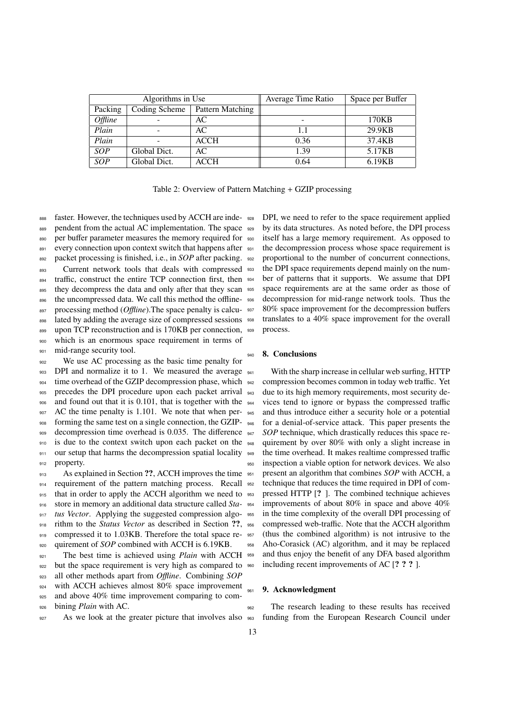| Algorithms in Use |               |                  | Average Time Ratio | Space per Buffer |
|-------------------|---------------|------------------|--------------------|------------------|
| Packing           | Coding Scheme | Pattern Matching |                    |                  |
| $O$ <i>ffline</i> |               | AC.              |                    | 170KB            |
| Plain             |               | AC.              | 1.1                | 29.9KB           |
| Plain             |               | <b>ACCH</b>      | 0.36               | 37.4KB           |
| SOP               | Global Dict.  | AC.              | 1.39               | 5.17KB           |
| SOP               | Global Dict.  | ACCH             | 0.64               | 6.19KB           |

Table 2: Overview of Pattern Matching + GZIP processing

888 faster. However, the techniques used by ACCH are inde- 928 889 pendent from the actual AC implementation. The space

890 per buffer parameter measures the memory required for <sup>891</sup> every connection upon context switch that happens after <sup>892</sup> packet processing is finished, i.e., in *SOP* after packing. 893 Current network tools that deals with compressed 933 894 traffic, construct the entire TCP connection first, then 934 they decompress the data and only after that they scan sas 896 the uncompressed data. We call this method the offline-897 processing method (*Offline*). The space penalty is calcu-898 lated by adding the average size of compressed sessions 899 upon TCP reconstruction and is 170KB per connection, 939 <sup>900</sup> which is an enormous space requirement in terms of 901 mid-range security tool.

<sup>902</sup> We use AC processing as the basic time penalty for 903 DPI and normalize it to 1. We measured the average  $_{941}$ 904 time overhead of the GZIP decompression phase, which 905 precedes the DPI procedure upon each packet arrival 943 906 and found out that it is 0.101, that is together with the 944 907 AC the time penalty is 1.101. We note that when per- 945 <sup>908</sup> forming the same test on a single connection, the GZIPdecompression time overhead is 0.035. The difference 910 is due to the context switch upon each packet on the 911 our setup that harms the decompression spatial locality 912 property.

913 As explained in Section ??, ACCH improves the time 951 914 requirement of the pattern matching process. Recall 915 that in order to apply the ACCH algorithm we need to <sup>916</sup> store in memory an additional data structure called *Sta-*<sup>917</sup> *tus Vector*. Applying the suggested compression algo-<sup>918</sup> rithm to the *Status Vector* as described in Section ??, 919 compressed it to 1.03KB. Therefore the total space re-920 quirement of *SOP* combined with ACCH is 6.19KB.

The best time is achieved using *Plain* with ACCH 959 <sup>922</sup> but the space requirement is very high as compared to <sup>923</sup> all other methods apart from *O*ffl*ine*. Combining *SOP* 924 with ACCH achieves almost 80% space improvement 925 and above 40% time improvement comparing to com-<sup>926</sup> bining *Plain* with AC.

927 As we look at the greater picture that involves also

DPI, we need to refer to the space requirement applied 929 by its data structures. As noted before, the DPI process <sup>930</sup> itself has a large memory requirement. As opposed to <sup>931</sup> the decompression process whose space requirement is proportional to the number of concurrent connections, the DPI space requirements depend mainly on the num-<sup>934</sup> ber of patterns that it supports. We assume that DPI space requirements are at the same order as those of decompression for mid-range network tools. Thus the 937 80% space improvement for the decompression buffers 938 translates to a 40% space improvement for the overall process.

#### 8. Conclusions

With the sharp increase in cellular web surfing, HTTP <sup>942</sup> compression becomes common in today web traffic. Yet due to its high memory requirements, most security devices tend to ignore or bypass the compressed traffic and thus introduce either a security hole or a potential 946 for a denial-of-service attack. This paper presents the *SOP* technique, which drastically reduces this space re-<sup>948</sup> quirement by over 80% with only a slight increase in 949 the time overhead. It makes realtime compressed traffic <sup>950</sup> inspection a viable option for network devices. We also present an algorithm that combines *SOP* with ACCH, a <sup>952</sup> technique that reduces the time required in DPI of com-953 pressed HTTP [? ]. The combined technique achieves improvements of about  $80\%$  in space and above  $40\%$ 955 in the time complexity of the overall DPI processing of 956 compressed web-traffic. Note that the ACCH algorithm 957 (thus the combined algorithm) is not intrusive to the <sup>958</sup> Aho-Corasick (AC) algorithm, and it may be replaced and thus enjoy the benefit of any DFA based algorithm 960 including recent improvements of AC [? ? ? ].

#### 961 9. Acknowledgment

<sup>962</sup> The research leading to these results has received <sup>963</sup> funding from the European Research Council under